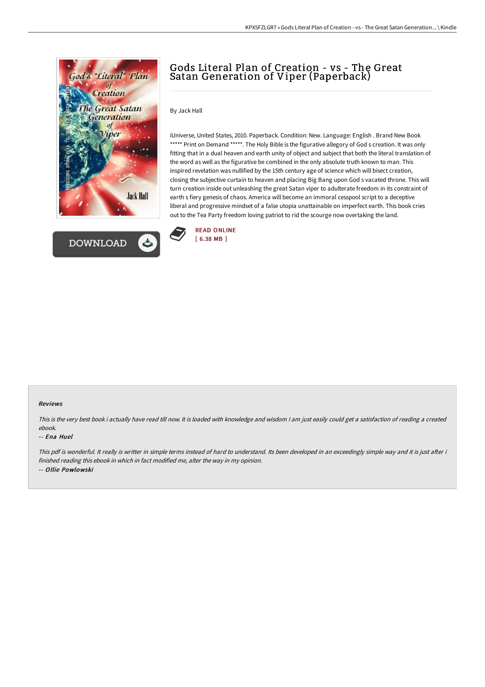



# Gods Literal Plan of Creation - vs - The Great Satan Generation of Viper (Paperback)

#### By Jack Hall

iUniverse, United States, 2010. Paperback. Condition: New. Language: English . Brand New Book \*\*\*\*\* Print on Demand \*\*\*\*\*. The Holy Bible is the figurative allegory of God s creation. It was only fitting that in a dual heaven and earth unity of object and subject that both the literal translation of the word as well as the figurative be combined in the only absolute truth known to man. This inspired revelation was nullified by the 15th century age of science which will bisect creation, closing the subjective curtain to heaven and placing Big Bang upon God s vacated throne. This will turn creation inside out unleashing the great Satan viper to adulterate freedom in its constraint of earth s fiery genesis of chaos. America will become an immoral cesspool script to a deceptive liberal and progressive mindset of a false utopia unattainable on imperfect earth. This book cries out to the Tea Party freedom loving patriot to rid the scourge now overtaking the land.



#### Reviews

This is the very best book i actually have read till now. It is loaded with knowledge and wisdom <sup>I</sup> am just easily could get <sup>a</sup> satisfaction of reading <sup>a</sup> created ebook.

#### -- Ena Huel

This pdf is wonderful. It really is writter in simple terms instead of hard to understand. Its been developed in an exceedingly simple way and it is just after i finished reading this ebook in which in fact modified me, alter the way in my opinion. -- Ollie Powlowski